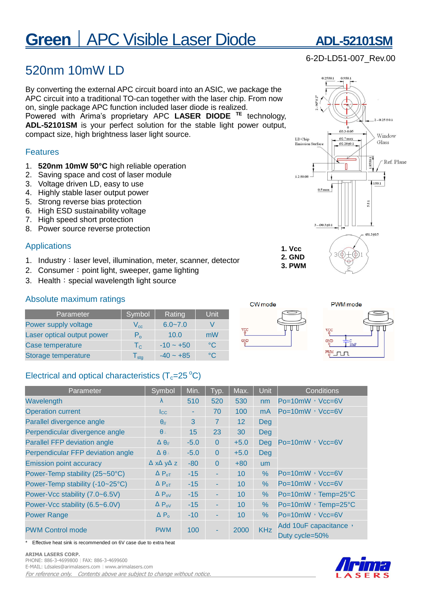# **Green** | APC Visible Laser Diode **ADL-52101SM**

#### **ARIMA LASERS CORP.**  PHONE: 886-3-4699800︱FAX: 886-3-4699600

E-MAIL: Ldsales@arimalasers.com︱www.arimalasers.com

Effective heat sink is recommended on 6V case due to extra heat

For reference only. Contents above are subject to change without notice.

## 520nm 10mW LD

By converting the external APC circuit board into an ASIC, we package the APC circuit into a traditional TO-can together with the laser chip. From now on, single package APC function included laser diode is realized. Powered with Arima's proprietary APC **LASER DIODE TE** technology, **ADL-52101SM** is your perfect solution for the stable light power output,

compact size, high brightness laser light source.

#### Features

- 1. **520nm 10mW 50°C** high reliable operation
- 2. Saving space and cost of laser module
- 3. Voltage driven LD, easy to use
- 4. Highly stable laser output power
- 5. Strong reverse bias protection
- 6. High ESD sustainability voltage
- 7. High speed short protection
- 8. Power source reverse protection

#### Applications

- 1. Industry: laser level, illumination, meter, scanner, detector
- 2. Consumer: point light, sweeper, game lighting
- 3. Health: special wavelength light source

#### Absolute maximum ratings

| Parameter                  | Symbol                      | Rating      | Unit         |
|----------------------------|-----------------------------|-------------|--------------|
| Power supply voltage       | $V_{cc}$                    | $6.0 - 7.0$ |              |
| Laser optical output power | P <sub>o</sub>              | 10.0        | mW           |
| Case temperature           | $T_{C}$                     | $-10 - +50$ | $^{\circ}$ C |
| Storage temperature        | $\mathsf{T}_{\textsf{stg}}$ | $-40 - +85$ | $^{\circ}$   |

### Electrical and optical characteristics  $(T_c=25\degree C)$

| Parameter                           | Symbol                           | Min.   | Typ.         | Max.            | <b>Unit</b>    | <b>Conditions</b>                       |  |
|-------------------------------------|----------------------------------|--------|--------------|-----------------|----------------|-----------------------------------------|--|
| Wavelength                          | λ                                | 510    | 520          | 530             | nm             | $Po=10mW$ , $Vcc=6V$                    |  |
| <b>Operation current</b>            | $_{\rm lcc}$                     |        | 70           | 100             | m <sub>A</sub> | $Po=10mW$ , $Vcc=6V$                    |  |
| Parallel divergence angle           | $\theta$ <sub>//</sub>           | 3      | 7            | 12              | <b>Deg</b>     |                                         |  |
| Perpendicular divergence angle      | $\theta$                         | 15     | 23           | 30              | <b>Deg</b>     | $Po=10mW$ , $Vcc=6V$                    |  |
| <b>Parallel FFP deviation angle</b> | $\Delta \theta_{\textit{N}}$     | $-5.0$ | $\mathbf 0$  | $+5.0$          | <b>Deg</b>     |                                         |  |
| Perpendicular FFP deviation angle   | $\Delta \theta$                  | $-5.0$ | $\Omega$     | $+5.0$          | <b>Deg</b>     |                                         |  |
| <b>Emission point accuracy</b>      | $\Delta$ x $\Delta$ y $\Delta$ z | $-80$  | $\mathbf{0}$ | $+80$           | <b>um</b>      |                                         |  |
| Power-Temp stability (25~50°C)      | $\Delta P_{\text{OT}}$           | $-15$  | ٠            | 10 <sup>1</sup> | $\%$           | Po=10mW, Vcc=6V                         |  |
| Power-Temp stability (-10~25°C)     | $\Delta P_{\text{oT}}$           | $-15$  | ٠            | 10              | %              | $Po=10mW$ , $Vcc=6V$                    |  |
| Power-Vcc stability (7.0~6.5V)      | $\Delta P_{ov}$                  | $-15$  | ٠            | 10 <sup>1</sup> | %              | Po=10mW, Temp=25°C                      |  |
| Power-Vcc stability (6.5~6.0V)      | $\Delta P_{ov}$                  | $-15$  | ٠            | 10              | %              | Po=10mW, Temp=25°C                      |  |
| <b>Power Range</b>                  | $\Delta P_{o}$                   | $-10$  | ٠            | 10              | $\%$           | $Po=10mW$ , $Vcc=6V$                    |  |
| <b>PWM Control mode</b>             | <b>PWM</b>                       | 100    | ٠            | 2000            | <b>KHz</b>     | Add 10uF capacitance,<br>Duty cycle=50% |  |

 $2 - 0.25 \pm 0.1$ 03.3-0.05 Window LD Chip Ø2.7 max Glass **Emission Surface** 02.28±0.1  $1.2 \pm 0.08$  $1±0.1$  $0.5\,\mathrm{max}$  $5 \pm 1$  $3 - 60.3 + 0.1$ 01.3±0.5 **1. Vcc**   $\Theta$  $3<sup>(</sup> \phi)$ **2. GND 3. PWM**

## 6-2D-LD51-007\_Rev.00







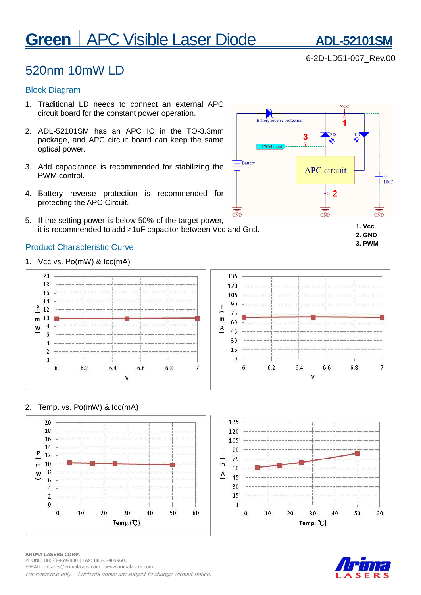# **Green** | APC Visible Laser Diode **ADL-52101SM**

6-2D-LD51-007\_Rev.00

## 520nm 10mW LD

#### Block Diagram

- 1. Traditional LD needs to connect an external APC circuit board for the constant power operation.
- 2. ADL-52101SM has an APC IC in the TO-3.3mm package, and APC circuit board can keep the same optical power.
- 3. Add capacitance is recommended for stabilizing the PWM control.
- 4. Battery reverse protection is recommended for protecting the APC Circuit.
- 5. If the setting power is below 50% of the target power, it is recommended to add >1uF capacitor between Vcc and Gnd.

### Product Characteristic Curve

1. Vcc vs. Po(mW) & Icc(mA)



#### 2. Temp. vs. Po(mW) & Icc(mA)







#### **ARIMA LASERS CORP.**  PHONE: 886-3-4699800︱FAX: 886-3-4699600 E-MAIL: Ldsales@arimalasers.com | www.arimalasers.com For reference only. Contents above are subject to change without notice.



**2. GND 3. PWM**